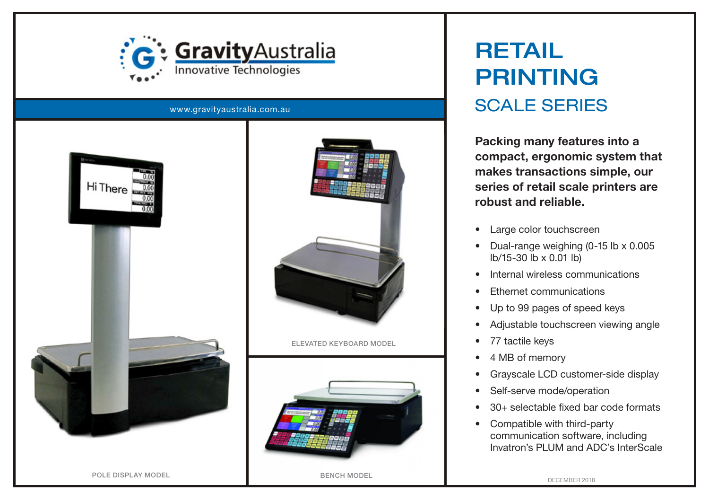

www.gravityaustralia.com.au





ELEVATED KEYBOARD MODEL



## RETAIL PRINTING SCALE SERIES

Packing many features into a compact, ergonomic system that makes transactions simple, our series of retail scale printers are robust and reliable.

- Large color touchscreen
- Dual-range weighing (0-15 lb x 0.005 lb/15-30 lb x 0.01 lb)
- Internal wireless communications
- Ethernet communications
- Up to 99 pages of speed keys
- Adjustable touchscreen viewing angle
- 77 tactile keys
- 4 MB of memory
- Grayscale LCD customer-side display
- Self-serve mode/operation
- 30+ selectable fixed bar code formats
- Compatible with third-party communication software, including Invatron's PLUM and ADC's InterScale

POLE DISPLAY MODEL **BENCH MODEL** BENCH MODEL

DECEMBER 2018